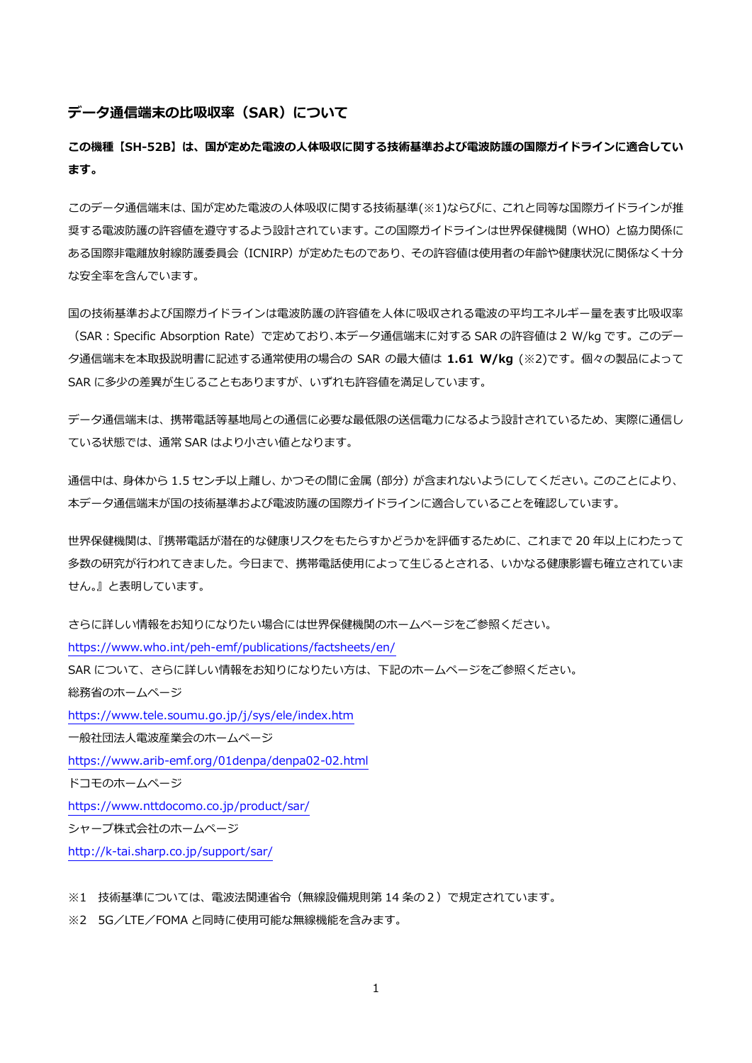#### **データ通信端末の比吸収率(SAR)について**

**この機種【SH-52B】は、国が定めた電波の人体吸収に関する技術基準および電波防護の国際ガイドラインに適合してい ます。**

このデータ通信端末は、国が定めた電波の人体吸収に関する技術基準(※1)ならびに、これと同等な国際ガイドラインが推 奨する電波防護の許容値を遵守するよう設計されています。この国際ガイドラインは世界保健機関(WHO)と協力関係に ある国際非電離放射線防護委員会(ICNIRP)が定めたものであり、その許容値は使用者の年齢や健康状況に関係なく十分 な安全率を含んでいます。

国の技術基準および国際ガイドラインは電波防護の許容値を人体に吸収される電波の平均エネルギー量を表す比吸収率 (SAR:Specific Absorption Rate)で定めており、本データ通信端末に対する SAR の許容値は 2 W/kg です。このデー タ通信端末を本取扱説明書に記述する通常使用の場合の SAR の最大値は **1.61 W/kg** (※2)です。個々の製品によって SAR に多少の差異が生じることもありますが、いずれも許容値を満足しています。

データ通信端末は、携帯電話等基地局との通信に必要な最低限の送信電力になるよう設計されているため、実際に通信し ている状態では、通常 SAR はより小さい値となります。

通信中は、身体から 1.5 センチ以上離し、かつその間に金属 (部分) が含まれないようにしてください。このことにより、 本データ通信端末が国の技術基準および電波防護の国際ガイドラインに適合していることを確認しています。

世界保健機関は、『携帯電話が潜在的な健康リスクをもたらすかどうかを評価するために、これまで 20 年以上にわたって 多数の研究が行われてきました。今日まで、携帯電話使用によって生じるとされる、いかなる健康影響も確立されていま せん。』と表明しています。

さらに詳しい情報をお知りになりたい場合には世界保健機関のホームページをご参照ください。 https://www.who.int/peh-[emf/publications/factsheets/en/](https://www.who.int/peh-emf/publications/factsheets/en/) SAR について、さらに詳しい情報をお知りになりたい方は、下記のホームページをご参照ください。 総務省のホームページ <https://www.tele.soumu.go.jp/j/sys/ele/index.htm> 一般社団法人電波産業会のホームページ https://www.arib-[emf.org/01denpa/denpa02](https://www.arib-emf.org/01denpa/denpa02-02.html)-02.html ドコモのホームページ <https://www.nttdocomo.co.jp/product/sar/> シャープ株式会社のホームページ http://k-[tai.sharp.co.jp/support/sar/](http://k-tai.sharp.co.jp/support/sar/)

※1 技術基準については、電波法関連省令(無線設備規則第14条の2)で規定されています。

※2 5G/LTE/FOMA と同時に使用可能な無線機能を含みます。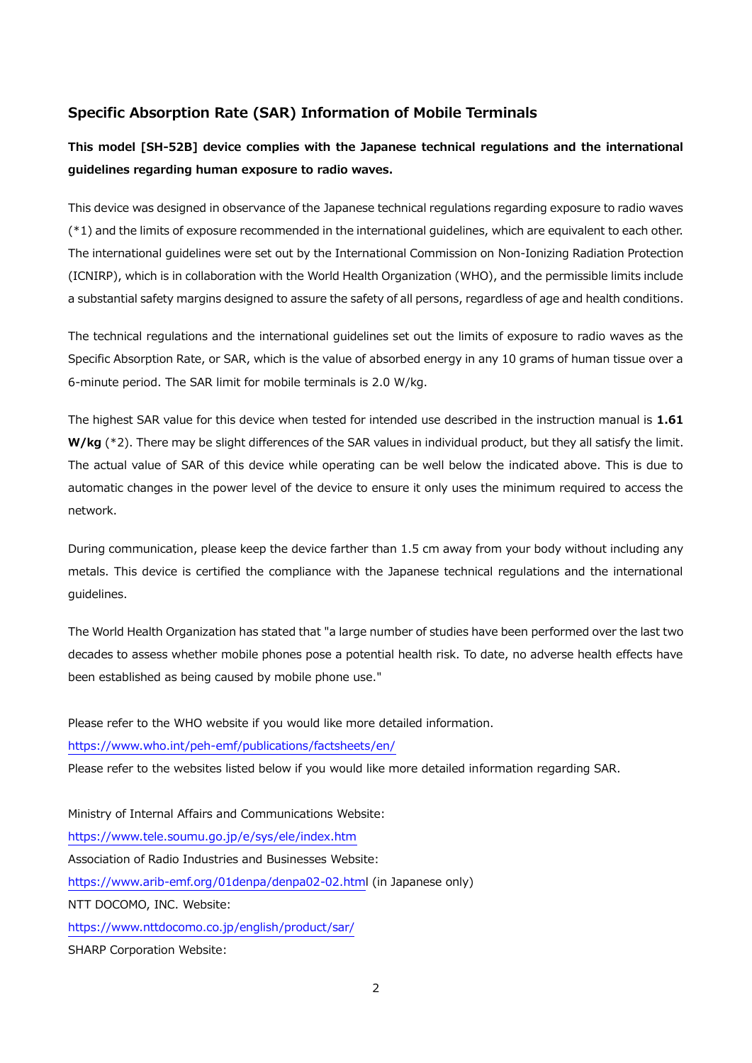## **Specific Absorption Rate (SAR) Information of Mobile Terminals**

# **This model [SH-52B] device complies with the Japanese technical regulations and the international guidelines regarding human exposure to radio waves.**

This device was designed in observance of the Japanese technical regulations regarding exposure to radio waves (\*1) and the limits of exposure recommended in the international guidelines, which are equivalent to each other. The international guidelines were set out by the International Commission on Non-Ionizing Radiation Protection (ICNIRP), which is in collaboration with the World Health Organization (WHO), and the permissible limits include a substantial safety margins designed to assure the safety of all persons, regardless of age and health conditions.

The technical regulations and the international guidelines set out the limits of exposure to radio waves as the Specific Absorption Rate, or SAR, which is the value of absorbed energy in any 10 grams of human tissue over a 6-minute period. The SAR limit for mobile terminals is 2.0 W/kg.

The highest SAR value for this device when tested for intended use described in the instruction manual is **1.61 W/kg** (\*2). There may be slight differences of the SAR values in individual product, but they all satisfy the limit. The actual value of SAR of this device while operating can be well below the indicated above. This is due to automatic changes in the power level of the device to ensure it only uses the minimum required to access the network.

During communication, please keep the device farther than 1.5 cm away from your body without including any metals. This device is certified the compliance with the Japanese technical regulations and the international guidelines.

The World Health Organization has stated that "a large number of studies have been performed over the last two decades to assess whether mobile phones pose a potential health risk. To date, no adverse health effects have been established as being caused by mobile phone use."

Please refer to the WHO website if you would like more detailed information. https://www.who.int/peh-[emf/publications/factsheets/en/](https://www.who.int/peh-emf/publications/factsheets/en/) Please refer to the websites listed below if you would like more detailed information regarding SAR. Ministry of Internal Affairs and Communications Website: <https://www.tele.soumu.go.jp/e/sys/ele/index.htm> Association of Radio Industries and Businesses Website: https://www.arib-[emf.org/01denpa/denpa02](https://www.arib-emf.org/01denpa/denpa02-02.htm)-02.html (in Japanese only) NTT DOCOMO, INC. Website: <https://www.nttdocomo.co.jp/english/product/sar/> SHARP Corporation Website: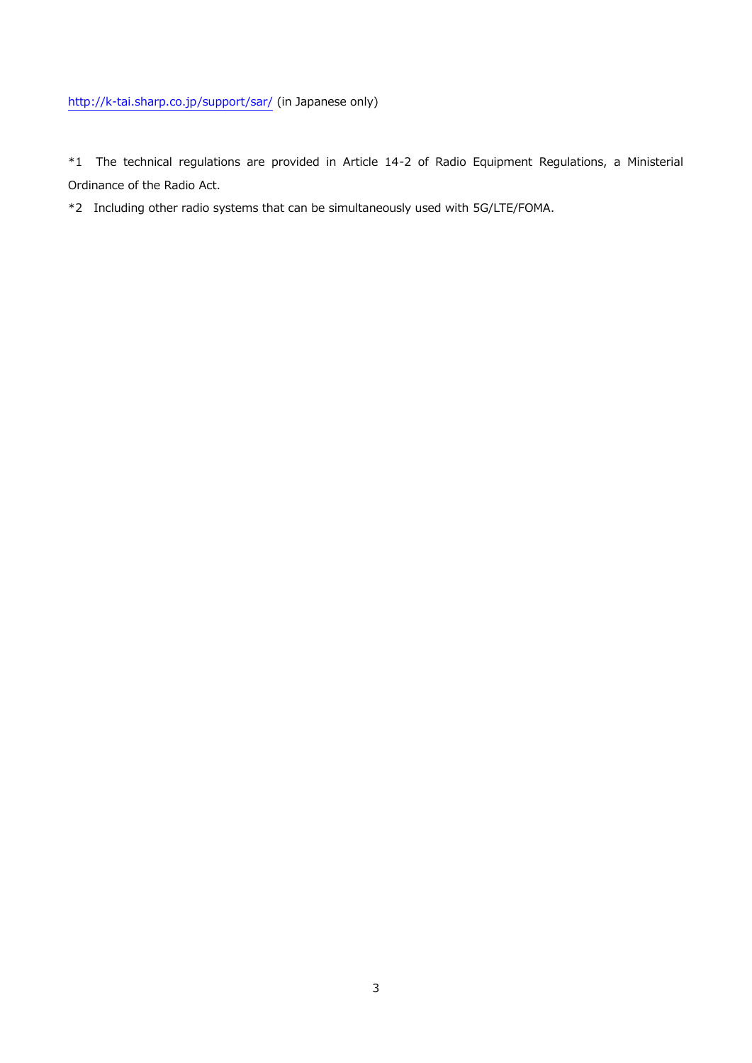## http://k-[tai.sharp.co.jp/support/sar/](http://k-tai.sharp.co.jp/support/sar/) (in Japanese only)

\*1 The technical regulations are provided in Article 14-2 of Radio Equipment Regulations, a Ministerial Ordinance of the Radio Act.

\*2 Including other radio systems that can be simultaneously used with 5G/LTE/FOMA.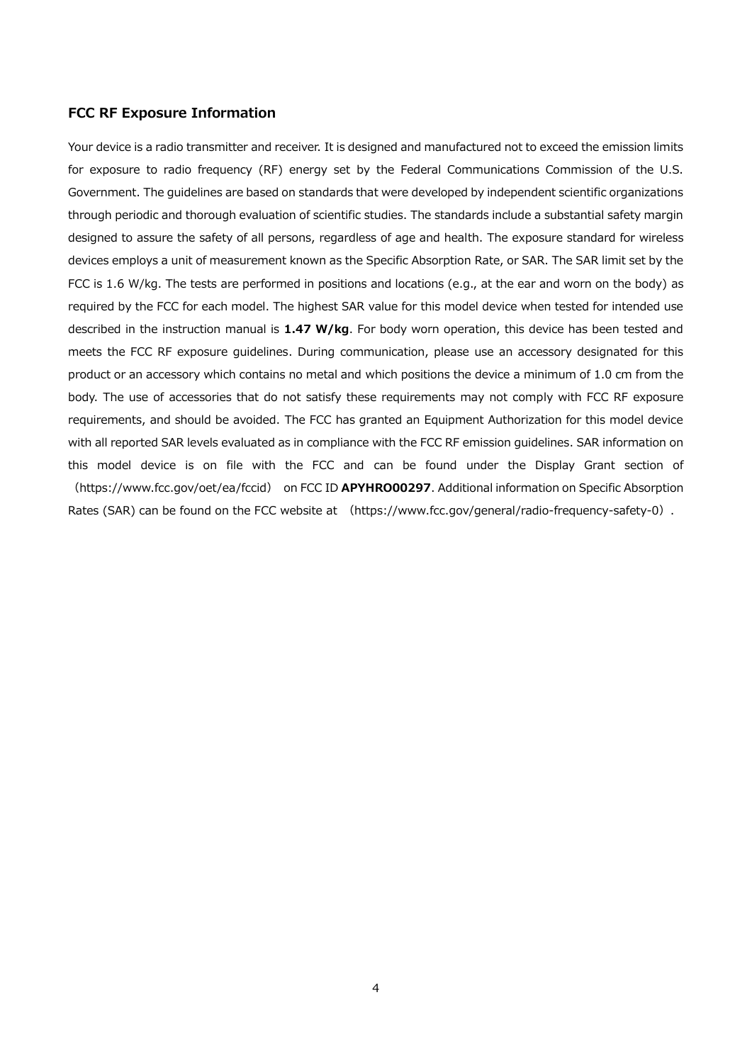#### **FCC RF Exposure Information**

Your device is a radio transmitter and receiver. It is designed and manufactured not to exceed the emission limits for exposure to radio frequency (RF) energy set by the Federal Communications Commission of the U.S. Government. The guidelines are based on standards that were developed by independent scientific organizations through periodic and thorough evaluation of scientific studies. The standards include a substantial safety margin designed to assure the safety of all persons, regardless of age and health. The exposure standard for wireless devices employs a unit of measurement known as the Specific Absorption Rate, or SAR. The SAR limit set by the FCC is 1.6 W/kg. The tests are performed in positions and locations (e.g., at the ear and worn on the body) as required by the FCC for each model. The highest SAR value for this model device when tested for intended use described in the instruction manual is **1.47 W/kg**. For body worn operation, this device has been tested and meets the FCC RF exposure guidelines. During communication, please use an accessory designated for this product or an accessory which contains no metal and which positions the device a minimum of 1.0 cm from the body. The use of accessories that do not satisfy these requirements may not comply with FCC RF exposure requirements, and should be avoided. The FCC has granted an Equipment Authorization for this model device with all reported SAR levels evaluated as in compliance with the FCC RF emission guidelines. SAR information on this model device is on file with the FCC and can be found under the Display Grant section of (https://www.fcc.gov/oet/ea/fccid) on FCC ID **APYHRO00297**. Additional information on Specific Absorption Rates (SAR) can be found on the FCC website at (https://www.fcc.gov/general/radio-frequency-safety-0).